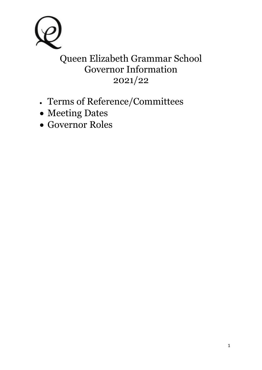

# Queen Elizabeth Grammar School Governor Information 2021/22

- Terms of Reference/Committees
- Meeting Dates
- Governor Roles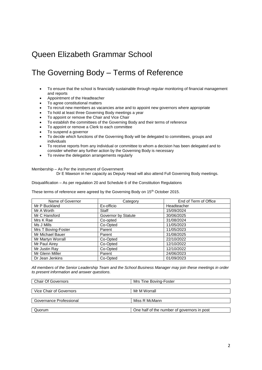### The Governing Body – Terms of Reference

- To ensure that the school is financially sustainable through regular monitoring of financial management and reports
- Appointment of the Headteacher
- To agree constitutional matters
- To recruit new members as vacancies arise and to appoint new governors where appropriate
- To hold at least three Governing Body meetings a year
- To appoint or remove the Chair and Vice Chair
- To establish the committees of the Governing Body and their terms of reference
- To appoint or remove a Clerk to each committee
- To suspend a governor
- To decide which functions of the Governing Body will be delegated to committees, groups and individuals
- To receive reports from any individual or committee to whom a decision has been delegated and to consider whether any further action by the Governing Body is necessary
- To review the delegation arrangements regularly

Membership – As Per the instrument of Government

Dr E Mawson in her capacity as Deputy Head will also attend Full Governing Body meetings.

Disqualification – As per regulation 20 and Schedule 6 of the Constitution Regulations

These terms of reference were agreed by the Governing Body on 15<sup>th</sup> October 2015.

| Name of Governor    | Category            | End of Term of Office |
|---------------------|---------------------|-----------------------|
| Mr P Buckland       | Ex-officio          | Headteacher           |
| Mr A Worth          | Staff               | 15/09/2024            |
| Mr C Hansford       | Governor by Statute | 30/06/2025            |
| Mrs K Rae           | Co-opted            | 31/08/2024            |
| Ms J Mills          | Co-Opted            | 11/05/2023            |
| Mrs T Boving-Foster | Parent              | 11/05/2023            |
| Mr Michael Bauer    | Parent              | 31/08/2025            |
| Mr Martyn Worrall   | Co-Opted            | 22/10/2022            |
| Mr Paul Airey       | Co-Opted            | 12/10/2022            |
| Mr Justin Ray       | Co-Opted            | 12/10/2022            |
| Mr Glenn Miller     | Parent              | 24/06/2023            |
| Dr Jean Jenkins     | Co-Opted            | 01/09/2023            |

*All members of the Senior Leadership Team and the School Business Manager may join these meetings in order to present information and answer questions.* 

| <b>Chair Of Governors</b> | Mrs Tine Boving-Foster                      |
|---------------------------|---------------------------------------------|
|                           |                                             |
| Vice Chair of Governors   | Mr M Worrall                                |
|                           |                                             |
| Governance Professional   | Miss R McMann                               |
|                           |                                             |
| Quorum                    | One half of the number of governors in post |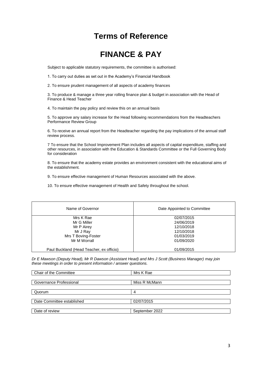### **Terms of Reference**

### **FINANCE & PAY**

Subject to applicable statutory requirements, the committee is authorised:

1. To carry out duties as set out in the Academy's Financial Handbook

2. To ensure prudent management of all aspects of academy finances

3. To produce & manage a three year rolling finance plan & budget in association with the Head of Finance & Head Teacher

4. To maintain the pay policy and review this on an annual basis

5. To approve any salary increase for the Head following recommendations from the Headteachers Performance Review Group

6. To receive an annual report from the Headteacher regarding the pay implications of the annual staff review process.

7 To ensure that the School Improvement Plan includes all aspects of capital expenditure, staffing and other resources, in association with the Education & Standards Committee or the Full Governing Body for consideration

8. To ensure that the academy estate provides an environment consistent with the educational aims of the establishment.

9. To ensure effective management of Human Resources associated with the above.

10. To ensure effective management of Health and Safety throughout the school.

| Name of Governor                         | Date Appointed to Committee |
|------------------------------------------|-----------------------------|
| Mrs K Rae                                | 02/07/2015                  |
| Mr G Miller                              | 24/06/2019                  |
| Mr P Airey                               | 12/10/2018                  |
| Mr J Ray                                 | 12/10/2018                  |
| Mrs T Boving-Foster                      | 01/03/2019                  |
| Mr M Worrall                             | 01/09/2020                  |
|                                          |                             |
| Paul Buckland (Head Teacher, ex officio) | 01/09/2015                  |

*Dr E Mawson (Deputy Head), Mr R Dawson (Assistant Head) and Mrs J Scott (Business Manager) may join these meetings in order to present information / answer questions.*

| Mrs K Rae      |
|----------------|
|                |
| Miss R McMann  |
|                |
| 4              |
|                |
| 02/07/2015     |
|                |
| September 2022 |
|                |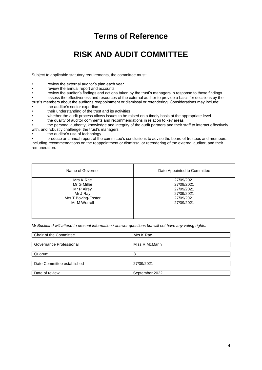### **Terms of Reference**

# **RISK AND AUDIT COMMITTEE**

Subject to applicable statutory requirements, the committee must:

review the external auditor's plan each year

• review the annual report and accounts

review the auditor's findings and actions taken by the trust's managers in response to those findings

• assess the effectiveness and resources of the external auditor to provide a basis for decisions by the

trust's members about the auditor's reappointment or dismissal or retendering. Considerations may include:

- the auditor's sector expertise
- their understanding of the trust and its activities
- whether the audit process allows issues to be raised on a timely basis at the appropriate level
- the quality of auditor comments and recommendations in relation to key areas

• the personal authority, knowledge and integrity of the audit partners and their staff to interact effectively with, and robustly challenge, the trust's managers

the auditor's use of technology

• produce an annual report of the committee's conclusions to advise the board of trustees and members, including recommendations on the reappointment or dismissal or retendering of the external auditor, and their remuneration.

| Name of Governor                    | Date Appointed to Committee |
|-------------------------------------|-----------------------------|
| Mrs K Rae                           | 27/09/2021                  |
| Mr G Miller<br>Mr P Airey           | 27/09/2021<br>27/09/2021    |
| Mr J Ray                            | 27/09/2021                  |
| Mrs T Boving-Foster<br>Mr M Worrall | 27/09/2021<br>27/09/2021    |
|                                     |                             |
|                                     |                             |

*Mr Buckland will attend to present information / answer questions but will not have any voting rights.* 

| Chair of the Committee     | Mrs K Rae      |
|----------------------------|----------------|
|                            |                |
| Governance Professional    | Miss R McMann  |
|                            |                |
| Quorum                     | ີ              |
|                            |                |
| Date Committee established | 27/09/2021     |
|                            |                |
| Date of review             | September 2022 |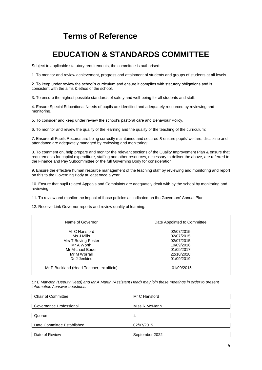### **Terms of Reference**

# **EDUCATION & STANDARDS COMMITTEE**

Subject to applicable statutory requirements, the committee is authorised:

1. To monitor and review achievement, progress and attainment of students and groups of students at all levels.

2. To keep under review the school's curriculum and ensure it complies with statutory obligations and is consistent with the aims & ethos of the school.

3. To ensure the highest possible standards of safety and well-being for all students and staff.

4. Ensure Special Educational Needs of pupils are identified and adequately resourced by reviewing and monitoring.

5. To consider and keep under review the school's pastoral care and Behaviour Policy.

6. To monitor and review the quality of the learning and the quality of the teaching of the curriculum;

7. Ensure all Pupils Records are being correctly maintained and secured & ensure pupils' welfare, discipline and attendance are adequately managed by reviewing and monitoring:

8. To comment on, help prepare and monitor the relevant sections of the Quality Improvement Plan & ensure that requirements for capital expenditure, staffing and other resources, necessary to deliver the above, are referred to the Finance and Pay Subcommittee or the full Governing Body for consideration

9. Ensure the effective human resource management of the teaching staff by reviewing and monitoring and report on this to the Governing Body at least once a year;

10. Ensure that pupil related Appeals and Complaints are adequately dealt with by the school by monitoring and reviewing.

11. To review and monitor the impact of those policies as indicated on the Governors' Annual Plan.

12. Receive Link Governor reports and review quality of learning.

| Name of Governor                         | Date Appointed to Committee |
|------------------------------------------|-----------------------------|
| Mr C Hansford                            | 02/07/2015                  |
| Ms J Mills                               | 02/07/2015                  |
| Mrs T Boving-Foster                      | 02/07/2015                  |
| Mr A Worth                               | 10/09/2016                  |
| Mr Michael Bauer                         | 01/09/2017                  |
| Mr M Worrall                             | 22/10/2018                  |
| Dr J Jenkins                             | 01/09/2019                  |
| Mr P Buckland (Head Teacher, ex officio) | 01/09/2015                  |

*Dr E Mawson (Deputy Head) and Mr A Martin (Assistant Head) may join these meetings in order to present information / answer questions.* 

| <b>Chair of Committee</b>  | Mr C Hansford  |
|----------------------------|----------------|
|                            |                |
| Governance Professional    | Miss R McMann  |
|                            |                |
| Quorum                     | 4              |
|                            |                |
| Date Committee Established | 02/07/2015     |
|                            |                |
| Date of Review             | September 2022 |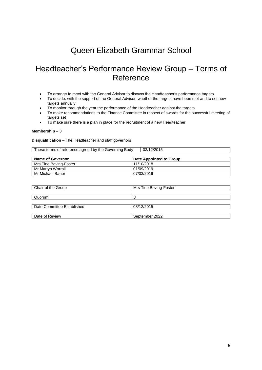### Headteacher's Performance Review Group – Terms of Reference

- To arrange to meet with the General Advisor to discuss the Headteacher's performance targets
- To decide, with the support of the General Advisor, whether the targets have been met and to set new targets annually
- To monitor through the year the performance of the Headteacher against the targets
- To make recommendations to the Finance Committee in respect of awards for the successful meeting of targets set
- To make sure there is a plan in place for the recruitment of a new Headteacher

#### **Membership** – 3

#### **Disqualification** – The Headteacher and staff governors

| <b>Name of Governor</b> | Date Appointed to Group |
|-------------------------|-------------------------|
| Mrs Tine Boving-Foster  | 11/10/2018              |
| Mr Martyn Worrall       | 01/09/2019              |
| Mr Michael Bauer        | 07/03/2019              |

| Mrs Tine Boving-Foster |
|------------------------|
|                        |
|                        |
|                        |
| 03/12/2015             |
|                        |
| September 2022         |
|                        |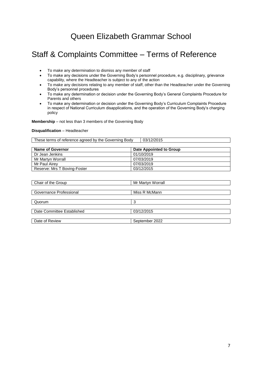# Staff & Complaints Committee – Terms of Reference

- To make any determination to dismiss any member of staff
- To make any decisions under the Governing Body's personnel procedure, e.g. disciplinary, grievance capability, where the Headteacher is subject to any of the action
- To make any decisions relating to any member of staff, other than the Headteacher under the Governing Body's personnel procedures
- To make any determination or decision under the Governing Body's General Complaints Procedure for Parents and others
- To make any determination or decision under the Governing Body's Curriculum Complaints Procedure in respect of National Curriculum disapplications, and the operation of the Governing Body's charging policy

**Membership** – not less than 3 members of the Governing Body

#### **Disqualification** – Headteacher

These terms of reference agreed by the Governing Body | 03/12/2015

| <b>Name of Governor</b>      | Date Appointed to Group |
|------------------------------|-------------------------|
| Dr Jean Jenkins              | 01/10/2019              |
| Mr Martyn Worrall            | 07/03/2019              |
| Mr Paul Airev                | 07/03/2019              |
| Reserve: Mrs T Boving-Foster | 03/12/2015              |

| Chair of the Group         | Mr Martyn Worrall |  |
|----------------------------|-------------------|--|
|                            |                   |  |
| Governance Professional    | Miss R McMann     |  |
|                            |                   |  |
| Quorum                     | 3                 |  |
|                            |                   |  |
| Date Committee Established | 03/12/2015        |  |
|                            |                   |  |
| Date of Review             | September 2022    |  |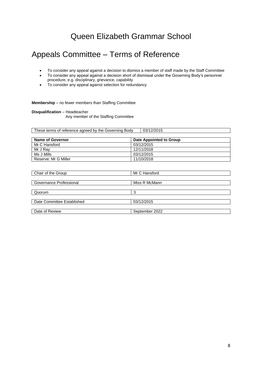### Appeals Committee – Terms of Reference

- To consider any appeal against a decision to dismiss a member of staff made by the Staff Committee
- To consider any appeal against a decision short of dismissal under the Governing Body's personnel procedure, e.g. disciplinary, grievance, capability
- To consider any appeal against selection for redundancy

#### **Membership** – no fewer members than Staffing Committee

#### **Disqualification** – Headteacher

Any member of the Staffing Committee

These terms of reference agreed by the Governing Body | 03/12/2015

| <b>Name of Governor</b> | Date Appointed to Group |
|-------------------------|-------------------------|
| Mr C Hansford           | 03/12/2015              |
| Mr J Rav                | 12/11/2018              |
| Ms J Mills              | 03/12/2015              |
| Reserve: Mr G Miller    | 11/10/2018              |

| Chair of the Group         | Mr C Hansford  |  |  |  |
|----------------------------|----------------|--|--|--|
|                            |                |  |  |  |
| Governance Professional    | Miss R McMann  |  |  |  |
|                            |                |  |  |  |
| Quorum                     | 3              |  |  |  |
|                            |                |  |  |  |
| Date Committee Established | 03/12/2015     |  |  |  |
|                            |                |  |  |  |
| Date of Review             | September 2022 |  |  |  |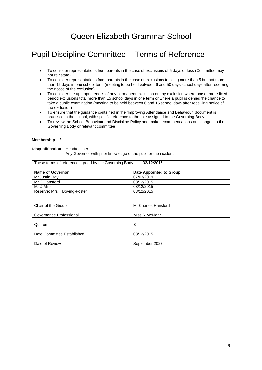# Pupil Discipline Committee – Terms of Reference

- To consider representations from parents in the case of exclusions of 5 days or less (Committee may not reinstate)
- To consider representations from parents in the case of exclusions totalling more than 5 but not more than 15 days in one school term (meeting to be held between 6 and 50 days school days after receiving the notice of the exclusion)
- To consider the appropriateness of any permanent exclusion or any exclusion where one or more fixed period exclusions total more than 15 school days in one term or where a pupil is denied the chance to take a public examination (meeting to be held between 6 and 15 school days after receiving notice of the exclusion)
- To ensure that the guidance contained in the 'Improving Attendance and Behaviour' document is practised in the school, with specific reference to the role assigned to the Governing Body
- To review the School Behaviour and Discipline Policy and make recommendations on changes to the Governing Body or relevant committee

#### **Membership** – 3

#### **Disqualification** – Headteacher

Any Governor with prior knowledge of the pupil or the incident

Reserve: Mrs T Boving-Foster 03/12/2015

| These terms of reference agreed by the Governing Body | 03/12/2015              |
|-------------------------------------------------------|-------------------------|
|                                                       |                         |
| <b>Name of Governor</b>                               | Date Appointed to Group |
| Mr Justin Rav                                         | 07/03/2019              |
| Mr C Hansford                                         | 03/12/2015              |
| Ms J Mills                                            | 03/12/2015              |

| Chair of the Group         | Mr Charles Hansford |
|----------------------------|---------------------|
|                            |                     |
| Governance Professional    | Miss R McMann       |
| Quorum                     | 3                   |
|                            |                     |
| Date Committee Established | 03/12/2015          |
|                            |                     |
| Date of Review             | September 2022      |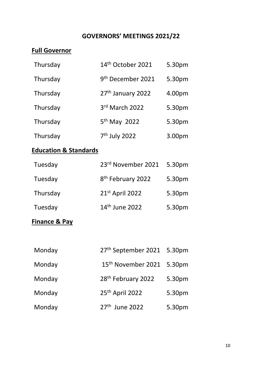### **GOVERNORS' MEETINGS 2021/22**

### **Full Governor**

| Thursday | 14th October 2021             | 5.30pm |
|----------|-------------------------------|--------|
| Thursday | 9 <sup>th</sup> December 2021 | 5.30pm |
| Thursday | 27th January 2022             | 4.00pm |
| Thursday | 3rd March 2022                | 5.30pm |
| Thursday | 5 <sup>th</sup> May 2022      | 5.30pm |
| Thursday | 7 <sup>th</sup> July 2022     | 3.00pm |

### **Education & Standards**

| Tuesday  | 23rd November 2021            | 5.30pm |
|----------|-------------------------------|--------|
| Tuesday  | 8 <sup>th</sup> February 2022 | 5.30pm |
| Thursday | 21st April 2022               | 5.30pm |
| Tuesday  | 14 <sup>th</sup> June 2022    | 5.30pm |

### **Finance & Pay**

| Monday | 27th September 2021 5.30pm            |        |
|--------|---------------------------------------|--------|
| Monday | 15 <sup>th</sup> November 2021 5.30pm |        |
| Monday | 28 <sup>th</sup> February 2022        | 5.30pm |
| Monday | 25th April 2022                       | 5.30pm |
| Monday | 27 <sup>th</sup> June 2022            | 5.30pm |